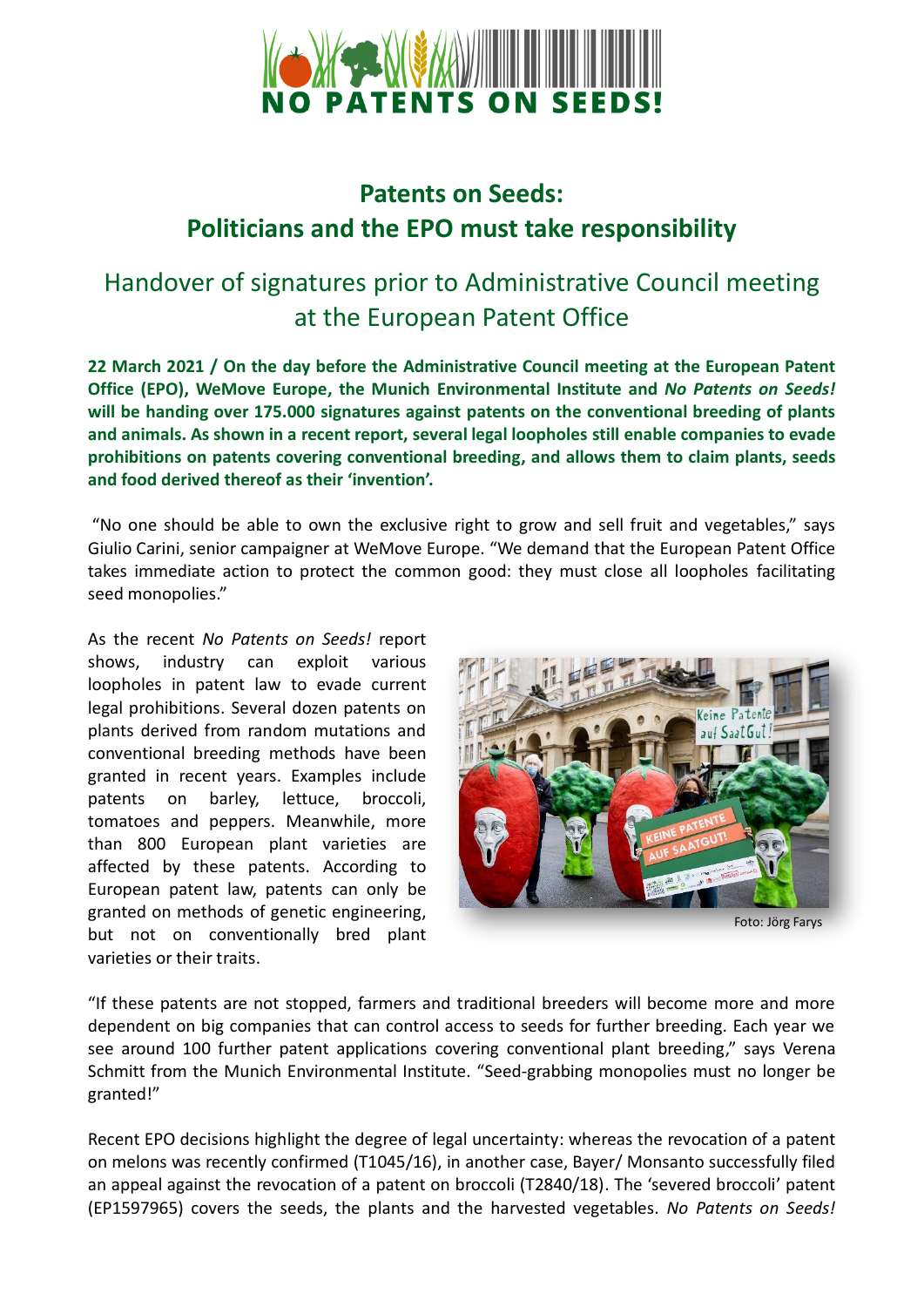

## **Patents on Seeds: Politicians and the EPO must take responsibility**

## Handover of signatures prior to Administrative Council meeting at the European Patent Office

**22 March 2021 / On the day before the Administrative Council meeting at the European Patent Office (EPO), WeMove Europe, the Munich Environmental Institute and** *No Patents on Seeds!* **will be handing over 175.000 signatures against patents on the conventional breeding of plants and animals. As shown in a recent report, several legal loopholes still enable companies to evade prohibitions on patents covering conventional breeding, and allows them to claim plants, seeds and food derived thereof as their 'invention'.** 

"No one should be able to own the exclusive right to grow and sell fruit and vegetables," says Giulio Carini, senior campaigner at WeMove Europe. "We demand that the European Patent Office takes immediate action to protect the common good: they must close all loopholes facilitating seed monopolies."

As the recent *No Patents on Seeds!* report shows, industry can exploit various loopholes in patent law to evade current legal prohibitions. Several dozen patents on plants derived from random mutations and conventional breeding methods have been granted in recent years. Examples include patents on barley, lettuce, broccoli, tomatoes and peppers. Meanwhile, more than 800 European plant varieties are affected by these patents. According to European patent law, patents can only be granted on methods of genetic engineering, but not on conventionally bred plant varieties or their traits.



Foto: Jörg Farys

"If these patents are not stopped, farmers and traditional breeders will become more and more dependent on big companies that can control access to seeds for further breeding. Each year we see around 100 further patent applications covering conventional plant breeding," says Verena Schmitt from the Munich Environmental Institute. "Seed-grabbing monopolies must no longer be granted!"

Recent EPO decisions highlight the degree of legal uncertainty: whereas the revocation of a patent on melons was recently confirmed (T1045/16), in another case, Bayer/ Monsanto successfully filed an appeal against the revocation of a patent on broccoli (T2840/18). The 'severed broccoli' patent (EP1597965) covers the seeds, the plants and the harvested vegetables. *No Patents on Seeds!*